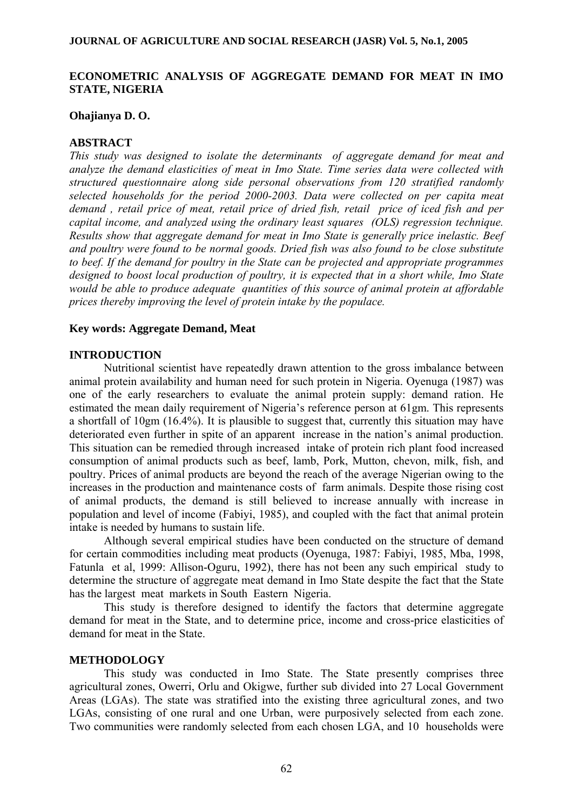#### **JOURNAL OF AGRICULTURE AND SOCIAL RESEARCH (JASR) Vol. 5, No.1, 2005**

# **ECONOMETRIC ANALYSIS OF AGGREGATE DEMAND FOR MEAT IN IMO STATE, NIGERIA**

### **Ohajianya D. O.**

### **ABSTRACT**

*This study was designed to isolate the determinants of aggregate demand for meat and analyze the demand elasticities of meat in Imo State. Time series data were collected with structured questionnaire along side personal observations from 120 stratified randomly selected households for the period 2000-2003. Data were collected on per capita meat demand , retail price of meat, retail price of dried fish, retail price of iced fish and per capital income, and analyzed using the ordinary least squares (OLS) regression technique. Results show that aggregate demand for meat in Imo State is generally price inelastic. Beef and poultry were found to be normal goods. Dried fish was also found to be close substitute to beef. If the demand for poultry in the State can be projected and appropriate programmes designed to boost local production of poultry, it is expected that in a short while, Imo State would be able to produce adequate quantities of this source of animal protein at affordable prices thereby improving the level of protein intake by the populace.* 

#### **Key words: Aggregate Demand, Meat**

### **INTRODUCTION**

 Nutritional scientist have repeatedly drawn attention to the gross imbalance between animal protein availability and human need for such protein in Nigeria. Oyenuga (1987) was one of the early researchers to evaluate the animal protein supply: demand ration. He estimated the mean daily requirement of Nigeria's reference person at 61gm. This represents a shortfall of 10gm (16.4%). It is plausible to suggest that, currently this situation may have deteriorated even further in spite of an apparent increase in the nation's animal production. This situation can be remedied through increased intake of protein rich plant food increased consumption of animal products such as beef, lamb, Pork, Mutton, chevon, milk, fish, and poultry. Prices of animal products are beyond the reach of the average Nigerian owing to the increases in the production and maintenance costs of farm animals. Despite those rising cost of animal products, the demand is still believed to increase annually with increase in population and level of income (Fabiyi, 1985), and coupled with the fact that animal protein intake is needed by humans to sustain life.

 Although several empirical studies have been conducted on the structure of demand for certain commodities including meat products (Oyenuga, 1987: Fabiyi, 1985, Mba, 1998, Fatunla et al, 1999: Allison-Oguru, 1992), there has not been any such empirical study to determine the structure of aggregate meat demand in Imo State despite the fact that the State has the largest meat markets in South Eastern Nigeria.

 This study is therefore designed to identify the factors that determine aggregate demand for meat in the State, and to determine price, income and cross-price elasticities of demand for meat in the State.

## **METHODOLOGY**

This study was conducted in Imo State. The State presently comprises three agricultural zones, Owerri, Orlu and Okigwe, further sub divided into 27 Local Government Areas (LGAs). The state was stratified into the existing three agricultural zones, and two LGAs, consisting of one rural and one Urban, were purposively selected from each zone. Two communities were randomly selected from each chosen LGA, and 10 households were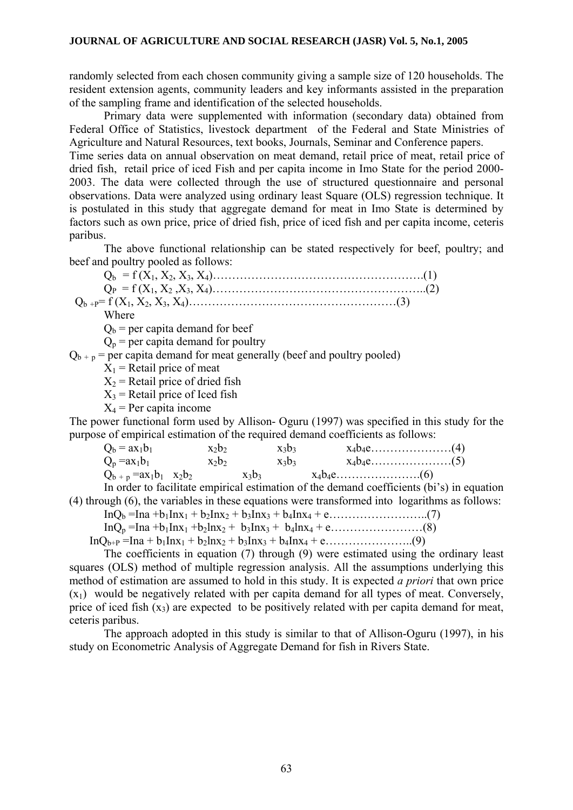randomly selected from each chosen community giving a sample size of 120 households. The resident extension agents, community leaders and key informants assisted in the preparation of the sampling frame and identification of the selected households.

Primary data were supplemented with information (secondary data) obtained from Federal Office of Statistics, livestock department of the Federal and State Ministries of Agriculture and Natural Resources, text books, Journals, Seminar and Conference papers.

Time series data on annual observation on meat demand, retail price of meat, retail price of dried fish, retail price of iced Fish and per capita income in Imo State for the period 2000- 2003. The data were collected through the use of structured questionnaire and personal observations. Data were analyzed using ordinary least Square (OLS) regression technique. It is postulated in this study that aggregate demand for meat in Imo State is determined by factors such as own price, price of dried fish, price of iced fish and per capita income, ceteris paribus.

The above functional relationship can be stated respectively for beef, poultry; and beef and poultry pooled as follows:

Where

 $Q<sub>b</sub>$  = per capita demand for beef

 $Q_p$  = per capita demand for poultry

 $Q_{b + p}$  = per capita demand for meat generally (beef and poultry pooled)

 $X_1$  = Retail price of meat

 $X_2$  = Retail price of dried fish

 $X_3$  = Retail price of Iced fish

 $X_4$  = Per capita income

The power functional form used by Allison- Oguru (1997) was specified in this study for the purpose of empirical estimation of the required demand coefficients as follows:

| $Q_b = ax_1b_1$              | $X_2D_2$ |          | $X_3b_3$ |  |  |
|------------------------------|----------|----------|----------|--|--|
| $Q_p = ax_1b_1$              | $X_2b_2$ |          | $X_3b_3$ |  |  |
| $Q_{b+p} = ax_1b_1$ $x_2b_2$ |          | $X_3D_3$ |          |  |  |

 In order to facilitate empirical estimation of the demand coefficients (bi's) in equation (4) through (6), the variables in these equations were transformed into logarithms as follows:

InQb =Ina +b1Inx1 + b2Inx2 + b3Inx3 + b4Inx4 + e……………………..(7)

InQp =Ina +b1Inx1 +b2lnx2 + b3Inx3 + b4lnx4 + e……………………(8)

 $InQ_{b+p} = Ina + b_1Inx_1 + b_2Inx_2 + b_3Inx_3 + b_4Inx_4 + e$ …………………...(9)

The coefficients in equation (7) through (9) were estimated using the ordinary least squares (OLS) method of multiple regression analysis. All the assumptions underlying this method of estimation are assumed to hold in this study. It is expected *a priori* that own price  $(x_1)$  would be negatively related with per capita demand for all types of meat. Conversely, price of iced fish  $(x_3)$  are expected to be positively related with per capita demand for meat, ceteris paribus.

 The approach adopted in this study is similar to that of Allison-Oguru (1997), in his study on Econometric Analysis of Aggregate Demand for fish in Rivers State.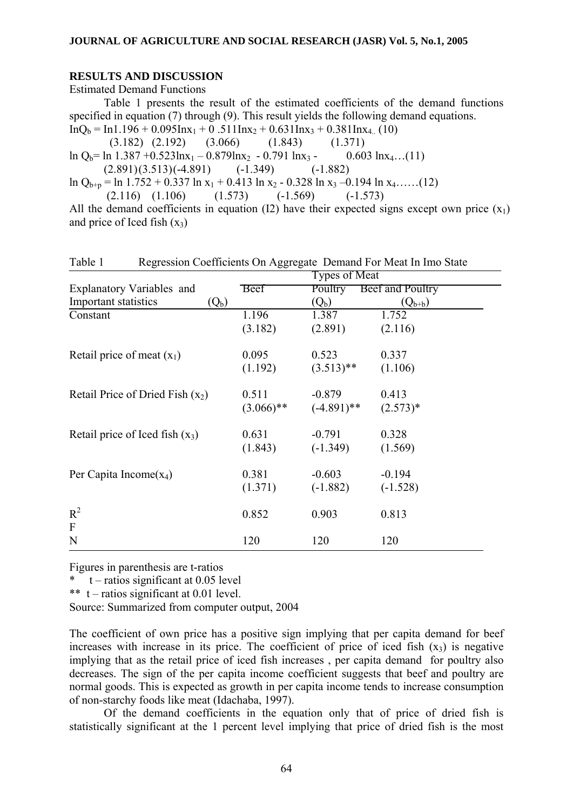### **RESULTS AND DISCUSSION**

Estimated Demand Functions

Table 1 presents the result of the estimated coefficients of the demand functions specified in equation (7) through (9). This result yields the following demand equations.  $InQ<sub>b</sub> = In1.196 + 0.095Inx<sub>1</sub> + 0.511Inx<sub>2</sub> + 0.631Inx<sub>3</sub> + 0.381Inx<sub>4</sub>$  (10)

 (3.182) (2.192) (3.066) (1.843) (1.371)  $\ln Q_b = \ln 1.387 + 0.523 \ln x_1 - 0.879 \ln x_2 - 0.791 \ln x_3 - 0.603 \ln x_4 \ldots (11)$  $(2.891)(3.513)(-4.891)$   $(-1.349)$   $(-1.882)$ 

ln Q<sub>b+p</sub> = ln 1.752 + 0.337 ln x<sub>1</sub> + 0.413 ln x<sub>2</sub> - 0.328 ln x<sub>3</sub> - 0.194 ln x<sub>4</sub>……(12)<br>(2.116) (1.106) (1.573) (-1.569) (-1.573)  $(2.116)$   $(1.106)$   $(1.573)$   $(-1.569)$   $(-1.573)$ 

All the demand coefficients in equation (I2) have their expected signs except own price  $(x_1)$ and price of Iced fish  $(x_3)$ 

| r agio i<br>regression coemercino on riggiegate Demana i oi meat in fino state |               |               |                          |  |  |
|--------------------------------------------------------------------------------|---------------|---------------|--------------------------|--|--|
|                                                                                | Types of Meat |               |                          |  |  |
| Explanatory Variables and                                                      | <b>Beet</b>   |               | Poultry Beef and Poultry |  |  |
| Important statistics<br>$(Q_b)$                                                |               | $(Q_b)$       | $(Q_{b+b})$              |  |  |
| Constant                                                                       | 1.196         | 1.387         | 1.752                    |  |  |
|                                                                                | (3.182)       | (2.891)       | (2.116)                  |  |  |
| Retail price of meat $(x_1)$                                                   | 0.095         | 0.523         | 0.337                    |  |  |
|                                                                                | (1.192)       | $(3.513)$ **  | (1.106)                  |  |  |
| Retail Price of Dried Fish $(x_2)$                                             | 0.511         | $-0.879$      | 0.413                    |  |  |
|                                                                                | $(3.066)$ **  | $(-4.891)$ ** | $(2.573)*$               |  |  |
| Retail price of Iced fish $(x_3)$                                              | 0.631         | $-0.791$      | 0.328                    |  |  |
|                                                                                | (1.843)       | $(-1.349)$    | (1.569)                  |  |  |
| Per Capita Income $(x_4)$                                                      | 0.381         | $-0.603$      | $-0.194$                 |  |  |
|                                                                                | (1.371)       | $(-1.882)$    | $(-1.528)$               |  |  |
| $R^2$                                                                          | 0.852         | 0.903         | 0.813                    |  |  |
| $\overline{F}$                                                                 |               |               |                          |  |  |
| N                                                                              | 120           | 120           | 120                      |  |  |

Table 1 Regression Coefficients On Aggregate Demand For Meat In Imo State

Figures in parenthesis are t-ratios

 $t$  – ratios significant at 0.05 level

\*\*  $t$  – ratios significant at 0.01 level.

Source: Summarized from computer output, 2004

The coefficient of own price has a positive sign implying that per capita demand for beef increases with increase in its price. The coefficient of price of iced fish  $(x_3)$  is negative implying that as the retail price of iced fish increases , per capita demand for poultry also decreases. The sign of the per capita income coefficient suggests that beef and poultry are normal goods. This is expected as growth in per capita income tends to increase consumption of non-starchy foods like meat (Idachaba, 1997).

 Of the demand coefficients in the equation only that of price of dried fish is statistically significant at the 1 percent level implying that price of dried fish is the most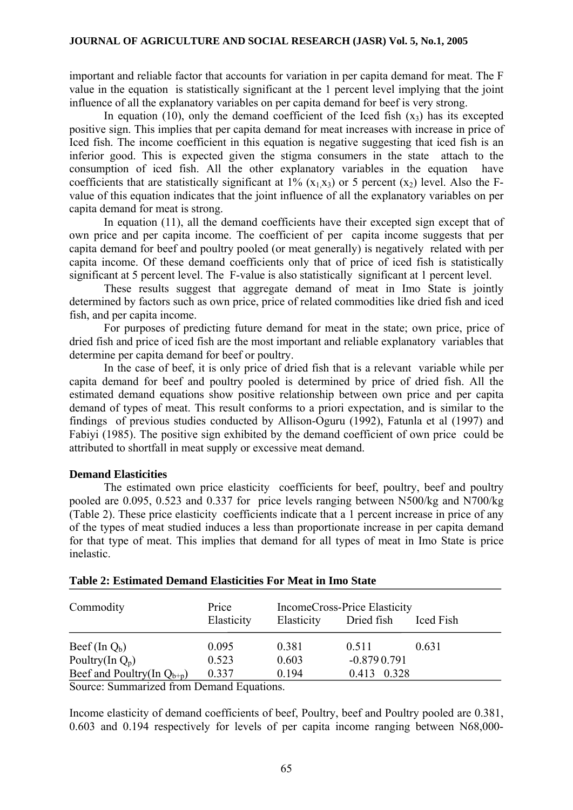important and reliable factor that accounts for variation in per capita demand for meat. The F value in the equation is statistically significant at the 1 percent level implying that the joint influence of all the explanatory variables on per capita demand for beef is very strong.

In equation (10), only the demand coefficient of the Iced fish  $(x_3)$  has its excepted positive sign. This implies that per capita demand for meat increases with increase in price of Iced fish. The income coefficient in this equation is negative suggesting that iced fish is an inferior good. This is expected given the stigma consumers in the state attach to the consumption of iced fish. All the other explanatory variables in the equation have coefficients that are statistically significant at 1%  $(x_1, x_3)$  or 5 percent  $(x_2)$  level. Also the Fvalue of this equation indicates that the joint influence of all the explanatory variables on per capita demand for meat is strong.

 In equation (11), all the demand coefficients have their excepted sign except that of own price and per capita income. The coefficient of per capita income suggests that per capita demand for beef and poultry pooled (or meat generally) is negatively related with per capita income. Of these demand coefficients only that of price of iced fish is statistically significant at 5 percent level. The F-value is also statistically significant at 1 percent level.

 These results suggest that aggregate demand of meat in Imo State is jointly determined by factors such as own price, price of related commodities like dried fish and iced fish, and per capita income.

 For purposes of predicting future demand for meat in the state; own price, price of dried fish and price of iced fish are the most important and reliable explanatory variables that determine per capita demand for beef or poultry.

 In the case of beef, it is only price of dried fish that is a relevant variable while per capita demand for beef and poultry pooled is determined by price of dried fish. All the estimated demand equations show positive relationship between own price and per capita demand of types of meat. This result conforms to a priori expectation, and is similar to the findings of previous studies conducted by Allison-Oguru (1992), Fatunla et al (1997) and Fabiyi (1985). The positive sign exhibited by the demand coefficient of own price could be attributed to shortfall in meat supply or excessive meat demand.

## **Demand Elasticities**

The estimated own price elasticity coefficients for beef, poultry, beef and poultry pooled are 0.095, 0.523 and 0.337 for price levels ranging between N500/kg and N700/kg (Table 2). These price elasticity coefficients indicate that a 1 percent increase in price of any of the types of meat studied induces a less than proportionate increase in per capita demand for that type of meat. This implies that demand for all types of meat in Imo State is price inelastic.

| Commodity                       | Price      | IncomeCross-Price Elasticity |               |           |  |  |
|---------------------------------|------------|------------------------------|---------------|-----------|--|--|
|                                 | Elasticity | Elasticity                   | Dried fish    | Iced Fish |  |  |
| Beef (In $Q_b$ )                | 0.095      | 0.381                        | 0.511         | 0.631     |  |  |
| Poultry(In $Q_p$ )              | 0.523      | 0.603                        | $-0.8790.791$ |           |  |  |
| Beef and Poultry(In $Q_{b+p}$ ) | 0.337      | 0.194                        | 0.413 0.328   |           |  |  |
|                                 |            |                              |               |           |  |  |

| Table 2: Estimated Demand Elasticities For Meat in Imo State |  |  |  |  |  |
|--------------------------------------------------------------|--|--|--|--|--|
|--------------------------------------------------------------|--|--|--|--|--|

Source: Summarized from Demand Equations.

Income elasticity of demand coefficients of beef, Poultry, beef and Poultry pooled are 0.381, 0.603 and 0.194 respectively for levels of per capita income ranging between N68,000